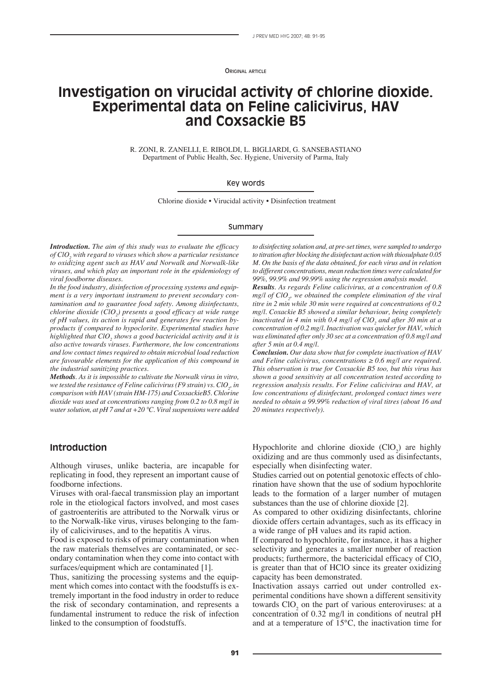**ORIGINAL ARTICLE** 

# **Investigation on virucidal activity of chlorine dioxide. Experimental data on Feline calicivirus, HAV and Coxsackie B5**

R. ZONI, R. ZANELLI, E. RIBOLDI, L. BIGLIARDI, G. SANSEBASTIANO Department of Public Health, Sec. Hygiene, University of Parma, Italy

#### Key words

Chlorine dioxide • Virucidal activity • Disinfection treatment

#### Summary

*Introduction. The aim of this study was to evaluate the efficacy of ClO2 with regard to viruses which show a particular resistance to oxidizing agent such as HAV and Norwalk and Norwalk-like viruses, and which play an important role in the epidemiology of viral foodborne diseases.*

*In the food industry, disinfection of processing systems and equipment is a very important instrument to prevent secondary contamination and to guarantee food safety. Among disinfectants, chlorine dioxide (ClO2 ) presents a good efficacy at wide range of pH values, its action is rapid and generates few reaction byproducts if compared to hypoclorite. Experimental studies have highlighted that ClO2 shows a good bactericidal activity and it is also active towards viruses. Furthermore, the low concentrations and low contact times required to obtain microbial load reduction are favourable elements for the application of this compound in the industrial sanitizing practices.*

*Methods. As it is impossible to cultivate the Norwalk virus in vitro,*  we tested the resistance of Feline calicivirus (F9 strain) vs. ClO<sub>2</sub>, in *comparison with HAV (strain HM-175) and CoxsackieB5. Chlorine dioxide was used at concentrations ranging from 0.2 to 0.8 mg/l in water solution, at pH 7 and at +20 °C. Viral suspensions were added* 

**Introduction**

Although viruses, unlike bacteria, are incapable for

replicating in food, they represent an important cause of foodborne infections.

Viruses with oral-faecal transmission play an important role in the etiological factors involved, and most cases of gastroenteritis are attributed to the Norwalk virus or to the Norwalk-like virus, viruses belonging to the family of caliciviruses, and to the hepatitis A virus.

Food is exposed to risks of primary contamination when the raw materials themselves are contaminated, or secondary contamination when they come into contact with surfaces/equipment which are contaminated [1].

Thus, sanitizing the processing systems and the equipment which comes into contact with the foodstuffs is extremely important in the food industry in order to reduce the risk of secondary contamination, and represents a fundamental instrument to reduce the risk of infection linked to the consumption of foodstuffs.

*to disinfecting solution and, at pre-set times, were sampled to undergo to titration after blocking the disinfectant action with thiosulphate 0.05 M. On the basis of the data obtained, for each virus and in relation to different concentrations, mean reduction times were calculated for 99%, 99.9% and 99.99% using the regression analysis model.*

*Results. As regards Feline calicivirus, at a concentration of 0.8 mg*/*l* of ClO<sub>2</sub>, we obtained the complete elimination of the viral *titre in 2 min while 30 min were required at concentrations of 0.2 mg/l. Coxackie B5 showed a similar behaviour, being completely inactivated in 4 min with 0.4 mg/l of ClO<sub>2</sub> and after 30 min at a concentration of 0.2 mg/l. Inactivation was quicker for HAV, which was eliminated after only 30 sec at a concentration of 0.8 mg/l and after 5 min at 0.4 mg/l.*

*Conclusion. Our data show that for complete inactivation of HAV and Feline calicivirus, concentrations*  $\geq 0.6$  *mg/l are required. This observation is true for Coxsackie B5 too, but this virus has shown a good sensitivity at all concentration tested according to regression analysis results. For Feline calicivirus and HAV, at low concentrations of disinfectant, prolonged contact times were needed to obtain a 99.99% reduction of viral titres (about 16 and 20 minutes respectively).*

Hypochlorite and chlorine dioxide  $(CIO<sub>2</sub>)$  are highly oxidizing and are thus commonly used as disinfectants, especially when disinfecting water.

Studies carried out on potential genotoxic effects of chlorination have shown that the use of sodium hypochlorite leads to the formation of a larger number of mutagen substances than the use of chlorine dioxide [2].

As compared to other oxidizing disinfectants, chlorine dioxide offers certain advantages, such as its efficacy in a wide range of pH values and its rapid action.

If compared to hypochlorite, for instance, it has a higher selectivity and generates a smaller number of reaction products; furthermore, the bactericidal efficacy of  $CIO$ <sub>2</sub> is greater than that of HClO since its greater oxidizing capacity has been demonstrated.

Inactivation assays carried out under controlled experimental conditions have shown a different sensitivity towards  $CIO<sub>2</sub>$  on the part of various enteroviruses: at a concentration of 0.32 mg/l in conditions of neutral pH and at a temperature of 15°C, the inactivation time for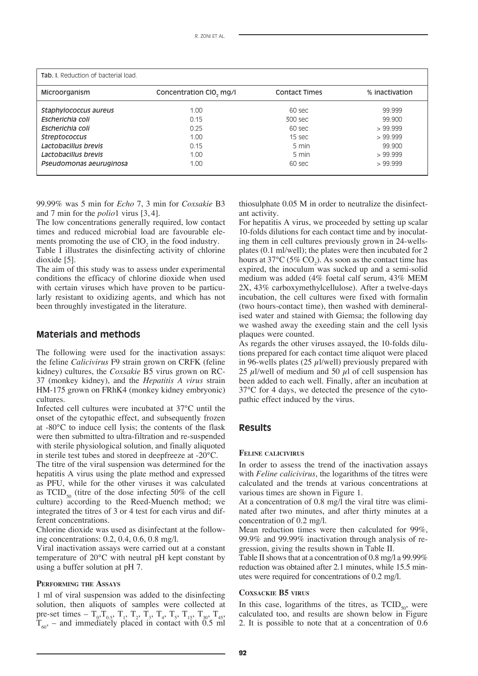| <b>Tab. I.</b> Reduction of bacterial load. |                         |                      |                |
|---------------------------------------------|-------------------------|----------------------|----------------|
| Microorganism                               | Concentration CIO, mg/l | <b>Contact Times</b> | % inactivation |
| Staphylococcus aureus                       | 1.00                    | 60 sec               | 99.999         |
| Escherichia coli                            | 0.15                    | 300 sec              | 99.900         |
| Escherichia coli                            | 0.25                    | 60 sec               | >99.999        |
| <b>Streptococcus</b>                        | 1.00                    | 15 sec               | >99.999        |
| Lactobacillus brevis                        | 0.15                    | 5 min                | 99.900         |
| Lactobacillus brevis                        | 1.00                    | 5 min                | >99.999        |
| Pseudomonas aeuruginosa                     | 1.00                    | 60 sec               | >99.999        |

99.99% was 5 min for *Echo* 7, 3 min for *Coxsakie* B3 and 7 min for the *polio*1 virus [3, 4].

The low concentrations generally required, low contact times and reduced microbial load are favourable elements promoting the use of  $CIO<sub>2</sub>$  in the food industry.

Table I illustrates the disinfecting activity of chlorine dioxide [5].

The aim of this study was to assess under experimental conditions the efficacy of chlorine dioxide when used with certain viruses which have proven to be particularly resistant to oxidizing agents, and which has not been throughly investigated in the literature.

## **Materials and methods**

The following were used for the inactivation assays: the feline *Calicivirus* F9 strain grown on CRFK (feline kidney) cultures, the *Coxsakie* B5 virus grown on RC-37 (monkey kidney), and the *Hepatitis A virus* strain HM-175 grown on FRhK4 (monkey kidney embryonic) cultures.

Infected cell cultures were incubated at 37°C until the onset of the cytopathic effect, and subsequently frozen at -80°C to induce cell lysis; the contents of the flask were then submitted to ultra-filtration and re-suspended with sterile physiological solution, and finally aliquoted in sterile test tubes and stored in deepfreeze at -20°C.

The titre of the viral suspension was determined for the hepatitis A virus using the plate method and expressed as PFU, while for the other viruses it was calculated as  $TCID_{50}$  (titre of the dose infecting 50% of the cell culture) according to the Reed-Muench method; we integrated the titres of 3 or 4 test for each virus and different concentrations.

Chlorine dioxide was used as disinfectant at the following concentrations: 0.2, 0.4, 0.6, 0.8 mg/l.

Viral inactivation assays were carried out at a constant temperature of 20°C with neutral pH kept constant by using a buffer solution at pH 7.

### **PERFORMING THE ASSAYS**

1 ml of viral suspension was added to the disinfecting solution, then aliquots of samples were collected at pre-set times –  $T_0, T_{0.5}, T_1, T_2, T_3, T_4, T_5, T_{15}, T_{30}, T_{45}$  $T_{60}$ , – and immediately placed in contact with 0.5 ml

thiosulphate 0.05 M in order to neutralize the disinfectant activity.

For hepatitis A virus, we proceeded by setting up scalar 10-folds dilutions for each contact time and by inoculating them in cell cultures previously grown in 24-wellsplates (0.1 ml/well); the plates were then incubated for 2 hours at 37°C (5%  $CO_2$ ). As soon as the contact time has expired, the inoculum was sucked up and a semi-solid medium was added (4% foetal calf serum, 43% MEM 2X, 43% carboxymethylcellulose). After a twelve-days incubation, the cell cultures were fixed with formalin (two hours-contact time), then washed with demineralised water and stained with Giemsa; the following day we washed away the exeeding stain and the cell lysis plaques were counted.

As regards the other viruses assayed, the 10-folds dilutions prepared for each contact time aliquot were placed in 96-wells plates (25  $\mu$ I/well) previously prepared with 25  $\mu$ l/well of medium and 50  $\mu$ l of cell suspension has been added to each well. Finally, after an incubation at 37°C for 4 days, we detected the presence of the cytopathic effect induced by the virus.

## **Results**

#### **FELINE CALICIVIRUS**

In order to assess the trend of the inactivation assays with *Feline calicivirus*, the logarithms of the titres were calculated and the trends at various concentrations at various times are shown in Figure 1.

At a concentration of 0.8 mg/l the viral titre was eliminated after two minutes, and after thirty minutes at a concentration of 0.2 mg/l.

Mean reduction times were then calculated for 99%, 99.9% and 99.99% inactivation through analysis of regression, giving the results shown in Table II.

Table II shows that at a concentration of 0.8 mg/l a 99.99% reduction was obtained after 2.1 minutes, while 15.5 minutes were required for concentrations of 0.2 mg/l.

#### **COXSACKIE B5 VIRUS**

In this case, logarithms of the titres, as  $TCID_{50}$ , were calculated too, and results are shown below in Figure 2. It is possible to note that at a concentration of 0.6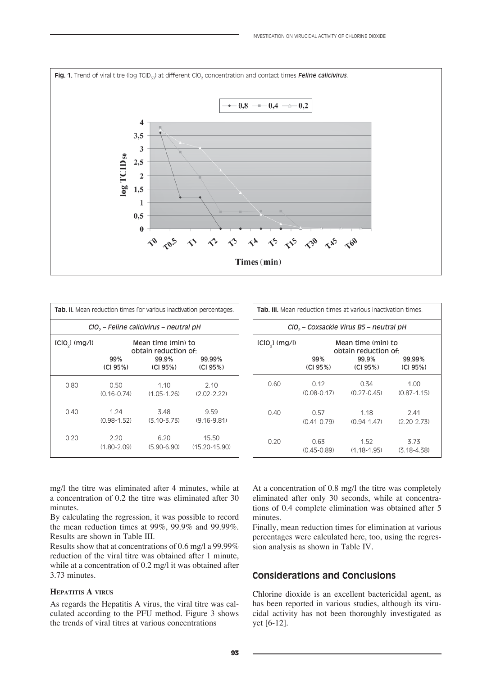

|                  |                         |                                                    | <b>Tab. II.</b> Mean reduction times for various inactivation percentages. |
|------------------|-------------------------|----------------------------------------------------|----------------------------------------------------------------------------|
|                  |                         | CIO <sub>2</sub> - Feline calicivirus - neutral pH |                                                                            |
| $ICIO2$ $(mg/l)$ |                         | Mean time (min) to<br>obtain reduction of:         |                                                                            |
|                  | 99%<br>(CI 95%)         | 99.9%<br>(CI 95%)                                  | 99.99%<br>(CI 95%)                                                         |
| 0.80             | 0.50<br>$(0.16 - 0.74)$ | 1.10<br>$(1.05 - 1.26)$                            | 2.10<br>$(2.02 - 2.22)$                                                    |
| 0.40             | 1.24<br>$(0.98 - 1.52)$ | 3.48<br>$(3.10 - 3.73)$                            | 9.59<br>$(9.16 - 9.81)$                                                    |
| 0.20             | 2.20<br>$(1.80 - 2.09)$ | 6.20                                               | 15.50<br>$(5.90 - 6.90)$ $(15.20 - 15.90)$                                 |

|                  |                         | <b>Tab. III.</b> Mean reduction times at various inactivation times. |                         |
|------------------|-------------------------|----------------------------------------------------------------------|-------------------------|
|                  |                         | CIO <sub>2</sub> – Coxsackie Virus B5 – neutral pH                   |                         |
| $ICIO2$ $(mg/l)$ |                         | Mean time (min) to<br>obtain reduction of:                           |                         |
|                  | 99%<br>(C195%)          | 99.9%<br>(CI 95%)                                                    | 99.99%<br>(CI 95%)      |
| 0.60             | 0.12                    | 0.34<br>$(0.08 - 0.17)$ $(0.27 - 0.45)$                              | 1.00<br>$(0.87 - 1.15)$ |
| 0.40             | 0.57<br>$(0.41 - 0.79)$ | 1.18<br>$(0.94 - 1.47)$ $(2.20 - 2.73)$                              | 2.41                    |
| 0.20             | 0.63                    | 1.52<br>$(0.45-0.89)$ $(1.18-1.95)$ $(3.18-4.38)$                    | 3.73                    |

mg/l the titre was eliminated after 4 minutes, while at a concentration of 0.2 the titre was eliminated after 30 minutes.

By calculating the regression, it was possible to record the mean reduction times at 99%, 99.9% and 99.99%. Results are shown in Table III.

Results show that at concentrations of 0.6 mg/l a 99.99% reduction of the viral titre was obtained after 1 minute, while at a concentration of 0.2 mg/l it was obtained after 3.73 minutes.

## **HEPATITIS A VIRUS**

As regards the Hepatitis A virus, the viral titre was calculated according to the PFU method. Figure 3 shows the trends of viral titres at various concentrations

At a concentration of 0.8 mg/l the titre was completely eliminated after only 30 seconds, while at concentrations of 0.4 complete elimination was obtained after 5 minutes.

Finally, mean reduction times for elimination at various percentages were calculated here, too, using the regression analysis as shown in Table IV.

# **Considerations and Conclusions**

Chlorine dioxide is an excellent bactericidal agent, as has been reported in various studies, although its virucidal activity has not been thoroughly investigated as yet [6-12].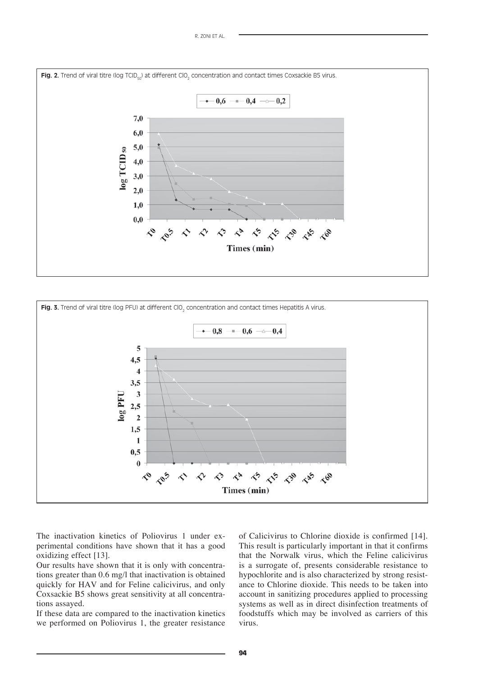



The inactivation kinetics of Poliovirus 1 under experimental conditions have shown that it has a good oxidizing effect [13].

Our results have shown that it is only with concentrations greater than 0.6 mg/l that inactivation is obtained quickly for HAV and for Feline calicivirus, and only Coxsackie B5 shows great sensitivity at all concentrations assayed.

If these data are compared to the inactivation kinetics we performed on Poliovirus 1, the greater resistance of Calicivirus to Chlorine dioxide is confirmed [14]. This result is particularly important in that it confirms that the Norwalk virus, which the Feline calicivirus is a surrogate of, presents considerable resistance to hypochlorite and is also characterized by strong resistance to Chlorine dioxide. This needs to be taken into account in sanitizing procedures applied to processing systems as well as in direct disinfection treatments of foodstuffs which may be involved as carriers of this virus.